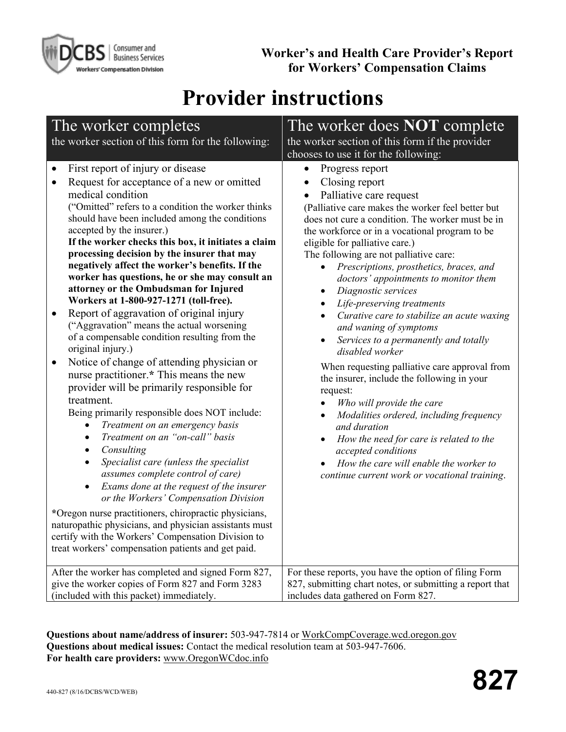

**Worker's and Health Care Provider's Report for Workers' Compensation Claims**

# **Provider instructions**

| The worker completes                                                                                                                                                                                                                                                                                                                                                                                                                                                                                                                                                                                                                                                                                                                                                                                                                                                                                                                                                                                                                                                                                                                                                                                                                                                                                                                                                                                                                                                                                                                                                    | The worker does <b>NOT</b> complete                                                                                                                                                                                                                                                                                                                                                                                                                                                                                                                                                                                                                                                                                                                                                                                                                                                                                                                                                                                                                                                                  |  |  |  |  |
|-------------------------------------------------------------------------------------------------------------------------------------------------------------------------------------------------------------------------------------------------------------------------------------------------------------------------------------------------------------------------------------------------------------------------------------------------------------------------------------------------------------------------------------------------------------------------------------------------------------------------------------------------------------------------------------------------------------------------------------------------------------------------------------------------------------------------------------------------------------------------------------------------------------------------------------------------------------------------------------------------------------------------------------------------------------------------------------------------------------------------------------------------------------------------------------------------------------------------------------------------------------------------------------------------------------------------------------------------------------------------------------------------------------------------------------------------------------------------------------------------------------------------------------------------------------------------|------------------------------------------------------------------------------------------------------------------------------------------------------------------------------------------------------------------------------------------------------------------------------------------------------------------------------------------------------------------------------------------------------------------------------------------------------------------------------------------------------------------------------------------------------------------------------------------------------------------------------------------------------------------------------------------------------------------------------------------------------------------------------------------------------------------------------------------------------------------------------------------------------------------------------------------------------------------------------------------------------------------------------------------------------------------------------------------------------|--|--|--|--|
| the worker section of this form for the following:                                                                                                                                                                                                                                                                                                                                                                                                                                                                                                                                                                                                                                                                                                                                                                                                                                                                                                                                                                                                                                                                                                                                                                                                                                                                                                                                                                                                                                                                                                                      | the worker section of this form if the provider                                                                                                                                                                                                                                                                                                                                                                                                                                                                                                                                                                                                                                                                                                                                                                                                                                                                                                                                                                                                                                                      |  |  |  |  |
|                                                                                                                                                                                                                                                                                                                                                                                                                                                                                                                                                                                                                                                                                                                                                                                                                                                                                                                                                                                                                                                                                                                                                                                                                                                                                                                                                                                                                                                                                                                                                                         | chooses to use it for the following:                                                                                                                                                                                                                                                                                                                                                                                                                                                                                                                                                                                                                                                                                                                                                                                                                                                                                                                                                                                                                                                                 |  |  |  |  |
| First report of injury or disease<br>$\bullet$<br>Request for acceptance of a new or omitted<br>$\bullet$<br>medical condition<br>("Omitted" refers to a condition the worker thinks<br>should have been included among the conditions<br>accepted by the insurer.)<br>If the worker checks this box, it initiates a claim<br>processing decision by the insurer that may<br>negatively affect the worker's benefits. If the<br>worker has questions, he or she may consult an<br>attorney or the Ombudsman for Injured<br>Workers at 1-800-927-1271 (toll-free).<br>Report of aggravation of original injury<br>$\bullet$<br>("Aggravation" means the actual worsening<br>of a compensable condition resulting from the<br>original injury.)<br>Notice of change of attending physician or<br>$\bullet$<br>nurse practitioner.* This means the new<br>provider will be primarily responsible for<br>treatment.<br>Being primarily responsible does NOT include:<br>Treatment on an emergency basis<br>$\bullet$<br>Treatment on an "on-call" basis<br>$\bullet$<br>Consulting<br>٠<br>Specialist care (unless the specialist<br>$\bullet$<br>assumes complete control of care)<br>Exams done at the request of the insurer<br>$\bullet$<br>or the Workers' Compensation Division<br>*Oregon nurse practitioners, chiropractic physicians,<br>naturopathic physicians, and physician assistants must<br>certify with the Workers' Compensation Division to<br>treat workers' compensation patients and get paid.<br>After the worker has completed and signed Form 827, | Progress report<br>$\bullet$<br>Closing report<br>$\bullet$<br>Palliative care request<br>$\bullet$<br>(Palliative care makes the worker feel better but<br>does not cure a condition. The worker must be in<br>the workforce or in a vocational program to be<br>eligible for palliative care.)<br>The following are not palliative care:<br>Prescriptions, prosthetics, braces, and<br>doctors' appointments to monitor them<br>Diagnostic services<br>$\bullet$<br>Life-preserving treatments<br>$\bullet$<br>Curative care to stabilize an acute waxing<br>and waning of symptoms<br>Services to a permanently and totally<br>$\bullet$<br>disabled worker<br>When requesting palliative care approval from<br>the insurer, include the following in your<br>request:<br>Who will provide the care<br>Modalities ordered, including frequency<br>$\bullet$<br>and duration<br>How the need for care is related to the<br>accepted conditions<br>How the care will enable the worker to<br>continue current work or vocational training.<br>For these reports, you have the option of filing Form |  |  |  |  |
| give the worker copies of Form 827 and Form 3283                                                                                                                                                                                                                                                                                                                                                                                                                                                                                                                                                                                                                                                                                                                                                                                                                                                                                                                                                                                                                                                                                                                                                                                                                                                                                                                                                                                                                                                                                                                        | 827, submitting chart notes, or submitting a report that                                                                                                                                                                                                                                                                                                                                                                                                                                                                                                                                                                                                                                                                                                                                                                                                                                                                                                                                                                                                                                             |  |  |  |  |
| (included with this packet) immediately.                                                                                                                                                                                                                                                                                                                                                                                                                                                                                                                                                                                                                                                                                                                                                                                                                                                                                                                                                                                                                                                                                                                                                                                                                                                                                                                                                                                                                                                                                                                                | includes data gathered on Form 827.                                                                                                                                                                                                                                                                                                                                                                                                                                                                                                                                                                                                                                                                                                                                                                                                                                                                                                                                                                                                                                                                  |  |  |  |  |

**Questions about name/address of insurer:** 503-947-7814 or [WorkCompCoverage.wcd.oregon.gov](http://workcompcoverage.wcd.oregon.gov/)  **Questions about medical issues:** Contact the medical resolution team at 503-947-7606. **For health care providers:** [www.OregonWCdoc.info](http://www.oregonwcdoc.info/)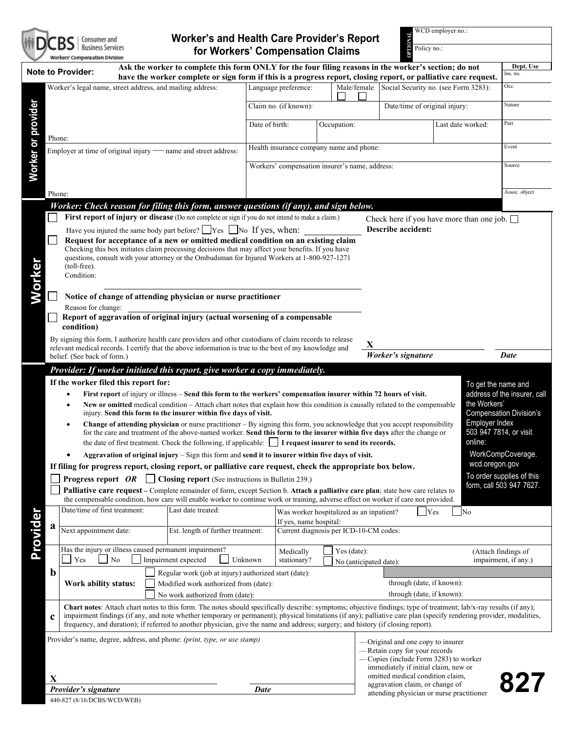

## **Worker's and Health Care Provider's Report for Workers' Compensation Claims**

**OPTION**<br> **OPTION**<br> **OPTION**<br> **OPTION**<br> **OPTION**<br> **OPTION**<br> **OPTION**<br> **OPTION**<br> **OPTION**<br> **OPTION** 

Policy no.:

|                    | Workers' Compensation Division                                                                                                                                                                                                                                                                                         |                |                                                |                                          |                        |                                                                       |                   |                     |                                |
|--------------------|------------------------------------------------------------------------------------------------------------------------------------------------------------------------------------------------------------------------------------------------------------------------------------------------------------------------|----------------|------------------------------------------------|------------------------------------------|------------------------|-----------------------------------------------------------------------|-------------------|---------------------|--------------------------------|
|                    | Ask the worker to complete this form ONLY for the four filing reasons in the worker's section; do not<br><b>Note to Provider:</b><br>have the worker complete or sign form if this is a progress report, closing report, or palliative care request.                                                                   |                |                                                |                                          |                        |                                                                       |                   |                     | Dept. Use<br>Ins. no.          |
|                    | Worker's legal name, street address, and mailing address:                                                                                                                                                                                                                                                              |                | Language preference:                           |                                          |                        | Male/female Social Security no. (see Form 3283):                      |                   |                     | Occ.                           |
|                    |                                                                                                                                                                                                                                                                                                                        |                |                                                |                                          |                        |                                                                       |                   |                     |                                |
|                    |                                                                                                                                                                                                                                                                                                                        |                | Claim no. (if known):                          |                                          |                        | Date/time of original injury:                                         |                   |                     | Nature                         |
| Worker or provider |                                                                                                                                                                                                                                                                                                                        | Date of birth: |                                                | Occupation:                              |                        |                                                                       | Last date worked: |                     | Part                           |
|                    | Phone:                                                                                                                                                                                                                                                                                                                 |                |                                                |                                          |                        |                                                                       |                   |                     |                                |
|                    | Employer at time of original injury - name and street address:                                                                                                                                                                                                                                                         |                | Health insurance company name and phone:       |                                          |                        |                                                                       |                   |                     | Event                          |
|                    |                                                                                                                                                                                                                                                                                                                        |                |                                                |                                          |                        |                                                                       |                   |                     |                                |
|                    |                                                                                                                                                                                                                                                                                                                        |                | Workers' compensation insurer's name, address: |                                          |                        |                                                                       |                   |                     | Source                         |
|                    |                                                                                                                                                                                                                                                                                                                        |                |                                                |                                          |                        |                                                                       |                   |                     |                                |
|                    | Phone:                                                                                                                                                                                                                                                                                                                 |                |                                                |                                          |                        |                                                                       |                   |                     | Assoc. object                  |
|                    | Worker: Check reason for filing this form, answer questions (if any), and sign below.                                                                                                                                                                                                                                  |                |                                                |                                          |                        |                                                                       |                   |                     |                                |
|                    | First report of injury or disease (Do not complete or sign if you do not intend to make a claim.)                                                                                                                                                                                                                      |                |                                                |                                          |                        | Check here if you have more than one job. $\Box$                      |                   |                     |                                |
|                    | Have you injured the same body part before? $\Box$ Yes $\Box$ No If yes, when:                                                                                                                                                                                                                                         |                |                                                |                                          |                        | Describe accident:                                                    |                   |                     |                                |
|                    | Request for acceptance of a new or omitted medical condition on an existing claim<br>Checking this box initiates claim processing decisions that may affect your benefits. If you have                                                                                                                                 |                |                                                |                                          |                        |                                                                       |                   |                     |                                |
|                    | questions, consult with your attorney or the Ombudsman for Injured Workers at 1-800-927-1271                                                                                                                                                                                                                           |                |                                                |                                          |                        |                                                                       |                   |                     |                                |
|                    | (toll-free).                                                                                                                                                                                                                                                                                                           |                |                                                |                                          |                        |                                                                       |                   |                     |                                |
|                    | Condition:                                                                                                                                                                                                                                                                                                             |                |                                                |                                          |                        |                                                                       |                   |                     |                                |
| Worker             | Notice of change of attending physician or nurse practitioner                                                                                                                                                                                                                                                          |                |                                                |                                          |                        |                                                                       |                   |                     |                                |
|                    | Reason for change:                                                                                                                                                                                                                                                                                                     |                |                                                |                                          |                        |                                                                       |                   |                     |                                |
|                    | Report of aggravation of original injury (actual worsening of a compensable                                                                                                                                                                                                                                            |                |                                                |                                          |                        |                                                                       |                   |                     |                                |
|                    | condition)                                                                                                                                                                                                                                                                                                             |                |                                                |                                          |                        |                                                                       |                   |                     |                                |
|                    | By signing this form, I authorize health care providers and other custodians of claim records to release<br>X                                                                                                                                                                                                          |                |                                                |                                          |                        |                                                                       |                   |                     |                                |
|                    | relevant medical records. I certify that the above information is true to the best of my knowledge and<br>belief. (See back of form.)                                                                                                                                                                                  |                |                                                |                                          |                        | Worker's signature                                                    |                   |                     | <b>Date</b>                    |
|                    | Provider: If worker initiated this report, give worker a copy immediately.                                                                                                                                                                                                                                             |                |                                                |                                          |                        |                                                                       |                   |                     |                                |
|                    | If the worker filed this report for:                                                                                                                                                                                                                                                                                   |                |                                                |                                          |                        |                                                                       |                   |                     |                                |
|                    |                                                                                                                                                                                                                                                                                                                        |                |                                                |                                          | To get the name and    |                                                                       |                   |                     | address of the insurer, call   |
|                    | First report of injury or illness – Send this form to the workers' compensation insurer within 72 hours of visit.<br>New or omitted medical condition - Attach chart notes that explain how this condition is causally related to the compensable                                                                      |                |                                                |                                          |                        |                                                                       | the Workers'      |                     |                                |
|                    | injury. Send this form to the insurer within five days of visit.                                                                                                                                                                                                                                                       |                |                                                |                                          |                        |                                                                       |                   |                     | <b>Compensation Division's</b> |
|                    | Employer Index<br>Change of attending physician or nurse practitioner - By signing this form, you acknowledge that you accept responsibility                                                                                                                                                                           |                |                                                |                                          |                        |                                                                       |                   |                     |                                |
|                    | 503 947 7814, or visit<br>for the care and treatment of the above-named worker. Send this form to the insurer within five days after the change or<br>online:<br>the date of first treatment. Check the following, if applicable:   I request insurer to send its records.                                             |                |                                                |                                          |                        |                                                                       |                   |                     |                                |
|                    | Aggravation of original injury $-$ Sign this form and send it to insurer within five days of visit.                                                                                                                                                                                                                    |                |                                                |                                          |                        |                                                                       |                   |                     |                                |
|                    |                                                                                                                                                                                                                                                                                                                        |                |                                                |                                          |                        |                                                                       |                   |                     |                                |
|                    |                                                                                                                                                                                                                                                                                                                        |                |                                                |                                          |                        |                                                                       |                   | wcd.oregon.gov      | WorkCompCoverage.              |
|                    | If filing for progress report, closing report, or palliative care request, check the appropriate box below.                                                                                                                                                                                                            |                |                                                |                                          |                        |                                                                       |                   |                     | To order supplies of this      |
|                    | Closing report (See instructions in Bulletin 239.)<br><b>Progress report OR</b> $\Box$                                                                                                                                                                                                                                 |                |                                                |                                          |                        |                                                                       |                   |                     | form, call 503 947 7627.       |
|                    | Palliative care request – Complete remainder of form, except Section b. Attach a palliative care plan; state how care relates to<br>the compensable condition, how care will enable worker to continue work or training, adverse effect on worker if care not provided.                                                |                |                                                |                                          |                        |                                                                       |                   |                     |                                |
|                    | Date/time of first treatment:<br>Last date treated:                                                                                                                                                                                                                                                                    |                |                                                | Was worker hospitalized as an inpatient? |                        | <b>Yes</b>                                                            | N <sub>o</sub>    |                     |                                |
|                    | a                                                                                                                                                                                                                                                                                                                      |                | If yes, name hospital:                         |                                          |                        |                                                                       |                   |                     |                                |
|                    | Next appointment date:<br>Est. length of further treatment:                                                                                                                                                                                                                                                            |                |                                                | Current diagnosis per ICD-10-CM codes:   |                        |                                                                       |                   |                     |                                |
|                    | Has the injury or illness caused permanent impairment?                                                                                                                                                                                                                                                                 |                | Medically                                      | Yes (date):                              |                        |                                                                       |                   | (Attach findings of |                                |
|                    | Yes<br>No<br>Impairment expected                                                                                                                                                                                                                                                                                       | Unknown        | stationary?                                    |                                          | No (anticipated date): |                                                                       |                   |                     | impairment, if any.)           |
|                    | $\mathbf b$<br>Regular work (job at injury) authorized start (date):                                                                                                                                                                                                                                                   |                |                                                |                                          |                        |                                                                       |                   |                     |                                |
|                    | Work ability status:<br>Modified work authorized from (date):                                                                                                                                                                                                                                                          |                |                                                |                                          |                        | through (date, if known):                                             |                   |                     |                                |
|                    | No work authorized from (date):                                                                                                                                                                                                                                                                                        |                |                                                |                                          |                        | through (date, if known):                                             |                   |                     |                                |
|                    | Chart notes: Attach chart notes to this form. The notes should specifically describe: symptoms; objective findings; type of treatment; lab/x-ray results (if any);                                                                                                                                                     |                |                                                |                                          |                        |                                                                       |                   |                     |                                |
|                    | impairment findings (if any, and note whether temporary or permanent); physical limitations (if any); palliative care plan (specify rendering provider, modalities,<br>$\mathbf c$<br>frequency, and duration); if referred to another physician, give the name and address; surgery; and history (if closing report). |                |                                                |                                          |                        |                                                                       |                   |                     |                                |
|                    |                                                                                                                                                                                                                                                                                                                        |                |                                                |                                          |                        |                                                                       |                   |                     |                                |
|                    | Provider's name, degree, address, and phone: (print, type, or use stamp)                                                                                                                                                                                                                                               |                |                                                |                                          |                        | -Original and one copy to insurer                                     |                   |                     |                                |
|                    |                                                                                                                                                                                                                                                                                                                        |                |                                                |                                          |                        | -Retain copy for your records<br>Copies (include Form 3283) to worker |                   |                     |                                |
|                    |                                                                                                                                                                                                                                                                                                                        |                |                                                |                                          |                        | immediately if initial claim, new or                                  |                   |                     |                                |
| Provider           | X<br>Provider's signature                                                                                                                                                                                                                                                                                              | <b>Date</b>    |                                                |                                          |                        | omitted medical condition claim.<br>aggravation claim, or change of   |                   |                     | 827                            |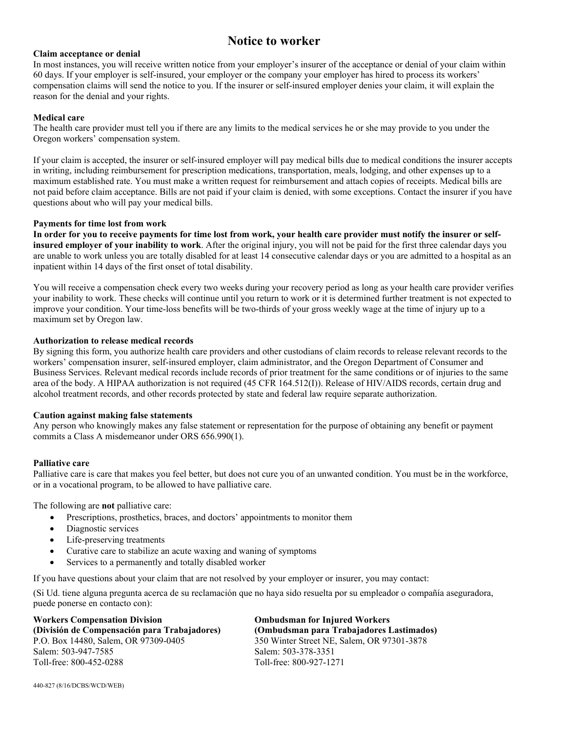## **Notice to worker**

#### **Claim acceptance or denial**

In most instances, you will receive written notice from your employer's insurer of the acceptance or denial of your claim within 60 days. If your employer is self-insured, your employer or the company your employer has hired to process its workers' compensation claims will send the notice to you. If the insurer or self-insured employer denies your claim, it will explain the reason for the denial and your rights.

#### **Medical care**

The health care provider must tell you if there are any limits to the medical services he or she may provide to you under the Oregon workers' compensation system.

If your claim is accepted, the insurer or self-insured employer will pay medical bills due to medical conditions the insurer accepts in writing, including reimbursement for prescription medications, transportation, meals, lodging, and other expenses up to a maximum established rate. You must make a written request for reimbursement and attach copies of receipts. Medical bills are not paid before claim acceptance. Bills are not paid if your claim is denied, with some exceptions. Contact the insurer if you have questions about who will pay your medical bills.

#### **Payments for time lost from work**

**In order for you to receive payments for time lost from work, your health care provider must notify the insurer or selfinsured employer of your inability to work**. After the original injury, you will not be paid for the first three calendar days you are unable to work unless you are totally disabled for at least 14 consecutive calendar days or you are admitted to a hospital as an inpatient within 14 days of the first onset of total disability.

You will receive a compensation check every two weeks during your recovery period as long as your health care provider verifies your inability to work. These checks will continue until you return to work or it is determined further treatment is not expected to improve your condition. Your time-loss benefits will be two-thirds of your gross weekly wage at the time of injury up to a maximum set by Oregon law.

#### **Authorization to release medical records**

By signing this form, you authorize health care providers and other custodians of claim records to release relevant records to the workers' compensation insurer, self-insured employer, claim administrator, and the Oregon Department of Consumer and Business Services. Relevant medical records include records of prior treatment for the same conditions or of injuries to the same area of the body. A HIPAA authorization is not required (45 CFR 164.512(I)). Release of HIV/AIDS records, certain drug and alcohol treatment records, and other records protected by state and federal law require separate authorization.

#### **Caution against making false statements**

Any person who knowingly makes any false statement or representation for the purpose of obtaining any benefit or payment commits a Class A misdemeanor under ORS 656.990(1).

#### **Palliative care**

Palliative care is care that makes you feel better, but does not cure you of an unwanted condition. You must be in the workforce, or in a vocational program, to be allowed to have palliative care.

The following are **not** palliative care:

- Prescriptions, prosthetics, braces, and doctors' appointments to monitor them
- Diagnostic services
- Life-preserving treatments
- Curative care to stabilize an acute waxing and waning of symptoms
- Services to a permanently and totally disabled worker

If you have questions about your claim that are not resolved by your employer or insurer, you may contact:

(Si Ud. tiene alguna pregunta acerca de su reclamación que no haya sido resuelta por su empleador o compañía aseguradora, puede ponerse en contacto con):

 $Trabajadores Lastimados)$ 

| <b>Workers Compensation Division</b>         | <b>Ombudsman for Injured Workers</b>       |  |  |  |  |
|----------------------------------------------|--------------------------------------------|--|--|--|--|
| (División de Compensación para Trabajadores) | (Ombudsman para Trabajadores Lastimado     |  |  |  |  |
| P.O. Box 14480, Salem, OR 97309-0405         | 350 Winter Street NE, Salem, OR 97301-3878 |  |  |  |  |
| Salem: 503-947-7585                          | Salem: 503-378-3351                        |  |  |  |  |
| Toll-free: 800-452-0288                      | Toll-free: 800-927-1271                    |  |  |  |  |